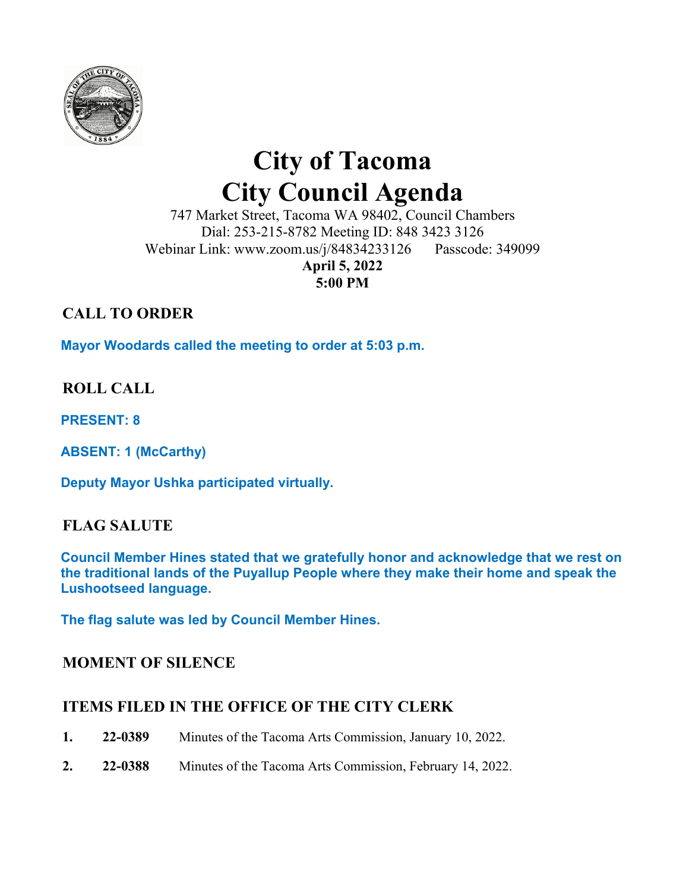

# **City of Tacoma City Council Agenda**

747 Market Street, Tacoma WA 98402, Council Chambers Dial: 253-215-8782 Meeting ID: 848 3423 3126 Webinar Link: www.zoom.us/j/84834233126 Passcode: 349099 **April 5, 2022** 

**5:00 PM** 

# **CALL TO ORDER**

**Mayor Woodards called the meeting to order at 5:03 p.m.** 

## **ROLL CALL**

**PRESENT: 8** 

**ABSENT: 1 (McCarthy)** 

**Deputy Mayor Ushka participated virtually.**

## **FLAG SALUTE**

**Council Member Hines stated that we gratefully honor and acknowledge that we rest on the traditional lands of the Puyallup People where they make their home and speak the Lushootseed language.** 

**The flag salute was led by Council Member Hines.** 

#### **MOMENT OF SILENCE**

## **ITEMS FILED IN THE OFFICE OF THE CITY CLERK**

- **1. 22-0389** Minutes of the Tacoma Arts Commission, January 10, 2022.
- **2. 22-0388** Minutes of the Tacoma Arts Commission, February 14, 2022.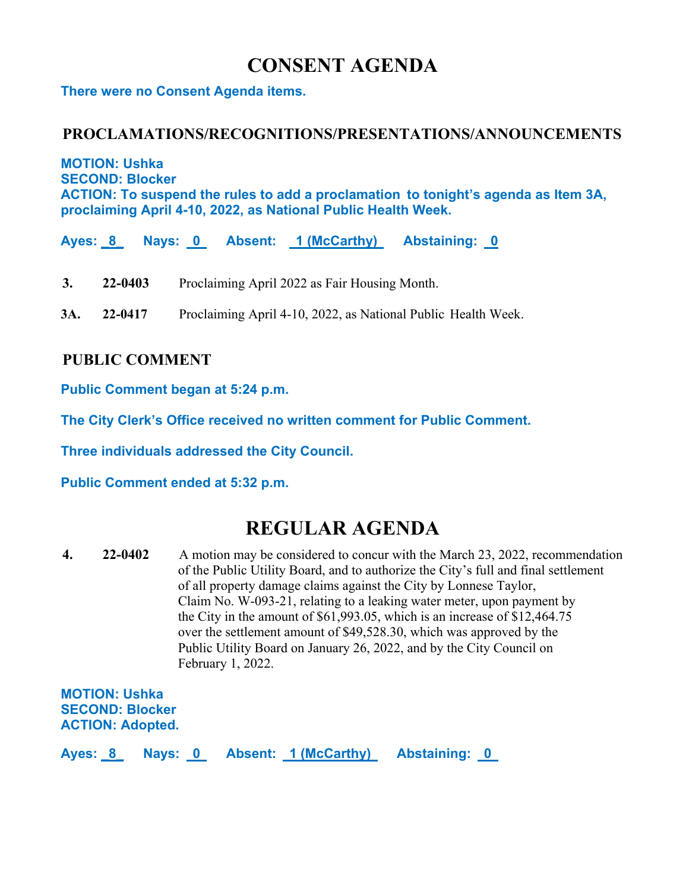# **CONSENT AGENDA**

**There were no Consent Agenda items.** 

#### **PROCLAMATIONS/RECOGNITIONS/PRESENTATIONS/ANNOUNCEMENTS**

**MOTION: Ushka SECOND: Blocker ACTION: To suspend the rules to add a proclamation to tonight's agenda as Item 3A, proclaiming April 4-10, 2022, as National Public Health Week.** 

Ayes: 8 Nays: 0 Absent: 1 (McCarthy) Abstaining: 0

- **3. 22-0403** Proclaiming April 2022 as Fair Housing Month.
- **3A. 22-0417** Proclaiming April 4-10, 2022, as National Public Health Week.

#### **PUBLIC COMMENT**

**Public Comment began at 5:24 p.m.** 

**The City Clerk's Office received no written comment for Public Comment.** 

**Three individuals addressed the City Council.** 

**Public Comment ended at 5:32 p.m.** 

# **REGULAR AGENDA**

**4. 22-0402** A motion may be considered to concur with the March 23, 2022, recommendation of the Public Utility Board, and to authorize the City's full and final settlement of all property damage claims against the City by Lonnese Taylor, Claim No. W-093-21, relating to a leaking water meter, upon payment by the City in the amount of \$61,993.05, which is an increase of \$12,464.75 over the settlement amount of \$49,528.30, which was approved by the Public Utility Board on January 26, 2022, and by the City Council on February 1, 2022.

**MOTION: Ushka SECOND: Blocker ACTION: Adopted.** 

**Ayes: \_8\_ Nays: 0 Absent: 1 (McCarthy) Abstaining: 0**